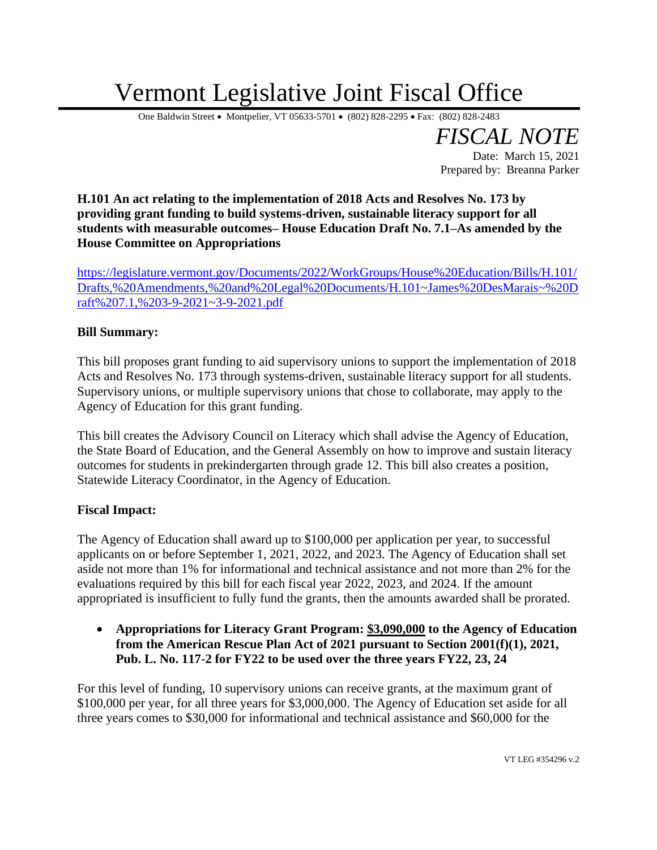## Vermont Legislative Joint Fiscal Office

One Baldwin Street • Montpelier, VT 05633-5701 • (802) 828-2295 • Fax: (802) 828-2483

*FISCAL NOTE* Date: March 15, 2021 Prepared by: Breanna Parker

**H.101 An act relating to the implementation of 2018 Acts and Resolves No. 173 by providing grant funding to build systems-driven, sustainable literacy support for all students with measurable outcomes– House Education Draft No. 7.1–As amended by the House Committee on Appropriations**

[https://legislature.vermont.gov/Documents/2022/WorkGroups/House%20Education/Bills/H.101/](https://legislature.vermont.gov/Documents/2022/WorkGroups/House%20Education/Bills/H.101/Drafts,%20Amendments,%20and%20Legal%20Documents/H.101~James%20DesMarais~%20Draft%207.1,%203-9-2021~3-9-2021.pdf) [Drafts,%20Amendments,%20and%20Legal%20Documents/H.101~James%20DesMarais~%20D](https://legislature.vermont.gov/Documents/2022/WorkGroups/House%20Education/Bills/H.101/Drafts,%20Amendments,%20and%20Legal%20Documents/H.101~James%20DesMarais~%20Draft%207.1,%203-9-2021~3-9-2021.pdf) [raft%207.1,%203-9-2021~3-9-2021.pdf](https://legislature.vermont.gov/Documents/2022/WorkGroups/House%20Education/Bills/H.101/Drafts,%20Amendments,%20and%20Legal%20Documents/H.101~James%20DesMarais~%20Draft%207.1,%203-9-2021~3-9-2021.pdf)

## **Bill Summary:**

This bill proposes grant funding to aid supervisory unions to support the implementation of 2018 Acts and Resolves No. 173 through systems-driven, sustainable literacy support for all students. Supervisory unions, or multiple supervisory unions that chose to collaborate, may apply to the Agency of Education for this grant funding.

This bill creates the Advisory Council on Literacy which shall advise the Agency of Education, the State Board of Education, and the General Assembly on how to improve and sustain literacy outcomes for students in prekindergarten through grade 12. This bill also creates a position, Statewide Literacy Coordinator, in the Agency of Education.

## **Fiscal Impact:**

The Agency of Education shall award up to \$100,000 per application per year, to successful applicants on or before September 1, 2021, 2022, and 2023. The Agency of Education shall set aside not more than 1% for informational and technical assistance and not more than 2% for the evaluations required by this bill for each fiscal year 2022, 2023, and 2024. If the amount appropriated is insufficient to fully fund the grants, then the amounts awarded shall be prorated.

• **Appropriations for Literacy Grant Program: \$3,090,000 to the Agency of Education from the American Rescue Plan Act of 2021 pursuant to Section 2001(f)(1), 2021, Pub. L. No. 117-2 for FY22 to be used over the three years FY22, 23, 24**

For this level of funding, 10 supervisory unions can receive grants, at the maximum grant of \$100,000 per year, for all three years for \$3,000,000. The Agency of Education set aside for all three years comes to \$30,000 for informational and technical assistance and \$60,000 for the